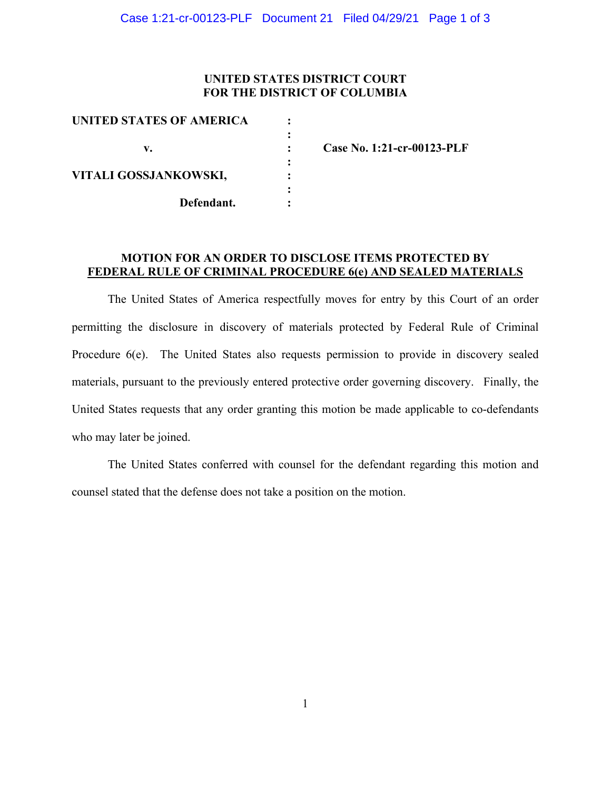### **UNITED STATES DISTRICT COURT FOR THE DISTRICT OF COLUMBIA**

| UNITED STATES OF AMERICA |  |
|--------------------------|--|
|                          |  |
| v.                       |  |
|                          |  |
| VITALI GOSSJANKOWSKI,    |  |
|                          |  |
| Defendant.               |  |
|                          |  |

**v. : Case No. 1:21-cr-00123-PLF**

### **MOTION FOR AN ORDER TO DISCLOSE ITEMS PROTECTED BY FEDERAL RULE OF CRIMINAL PROCEDURE 6(e) AND SEALED MATERIALS**

The United States of America respectfully moves for entry by this Court of an order permitting the disclosure in discovery of materials protected by Federal Rule of Criminal Procedure 6(e). The United States also requests permission to provide in discovery sealed materials, pursuant to the previously entered protective order governing discovery. Finally, the United States requests that any order granting this motion be made applicable to co-defendants who may later be joined.

The United States conferred with counsel for the defendant regarding this motion and counsel stated that the defense does not take a position on the motion.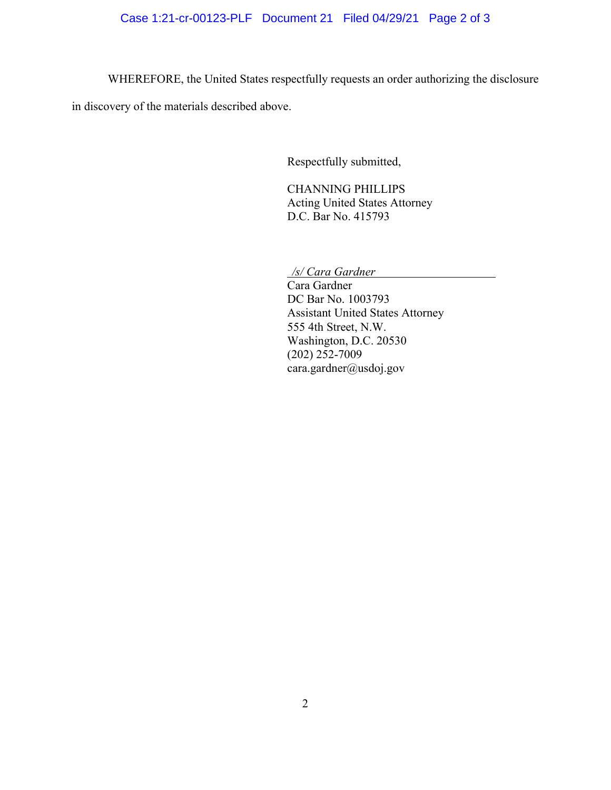# Case 1:21-cr-00123-PLF Document 21 Filed 04/29/21 Page 2 of 3

WHEREFORE, the United States respectfully requests an order authorizing the disclosure

in discovery of the materials described above.

Respectfully submitted,

CHANNING PHILLIPS Acting United States Attorney D.C. Bar No. 415793

*/s/ Cara Gardner* 

Cara Gardner DC Bar No. 1003793 Assistant United States Attorney 555 4th Street, N.W. Washington, D.C. 20530 (202) 252-7009 cara.gardner@usdoj.gov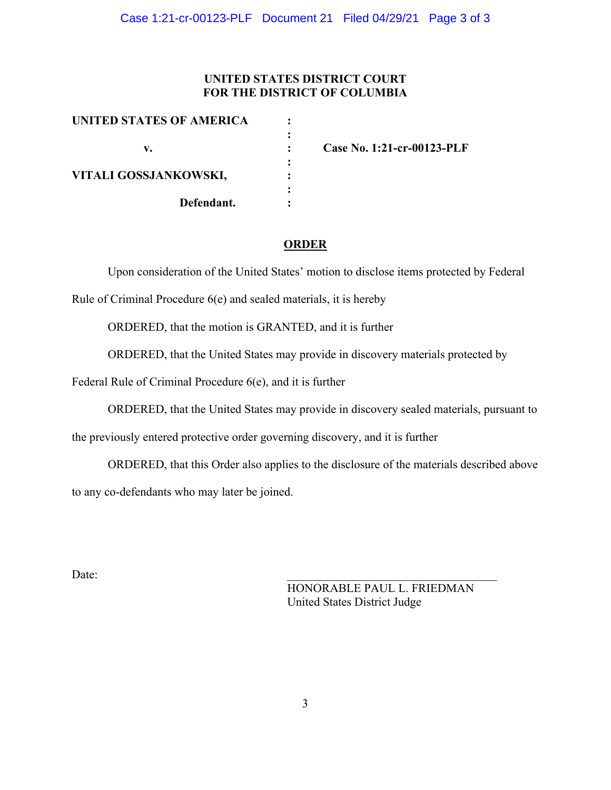# **UNITED STATES DISTRICT COURT FOR THE DISTRICT OF COLUMBIA**

| UNITED STATES OF AMERICA |  |
|--------------------------|--|
|                          |  |
| v.                       |  |
|                          |  |
| VITALI GOSSJANKOWSKI,    |  |
|                          |  |
| Defendant.               |  |
|                          |  |

**v. : Case No. 1:21-cr-00123-PLF**

### **ORDER**

Upon consideration of the United States' motion to disclose items protected by Federal

Rule of Criminal Procedure 6(e) and sealed materials, it is hereby

ORDERED, that the motion is GRANTED, and it is further

ORDERED, that the United States may provide in discovery materials protected by

Federal Rule of Criminal Procedure 6(e), and it is further

ORDERED, that the United States may provide in discovery sealed materials, pursuant to

the previously entered protective order governing discovery, and it is further

ORDERED, that this Order also applies to the disclosure of the materials described above to any co-defendants who may later be joined.

 $Date:$ 

HONORABLE PAUL L. FRIEDMAN United States District Judge